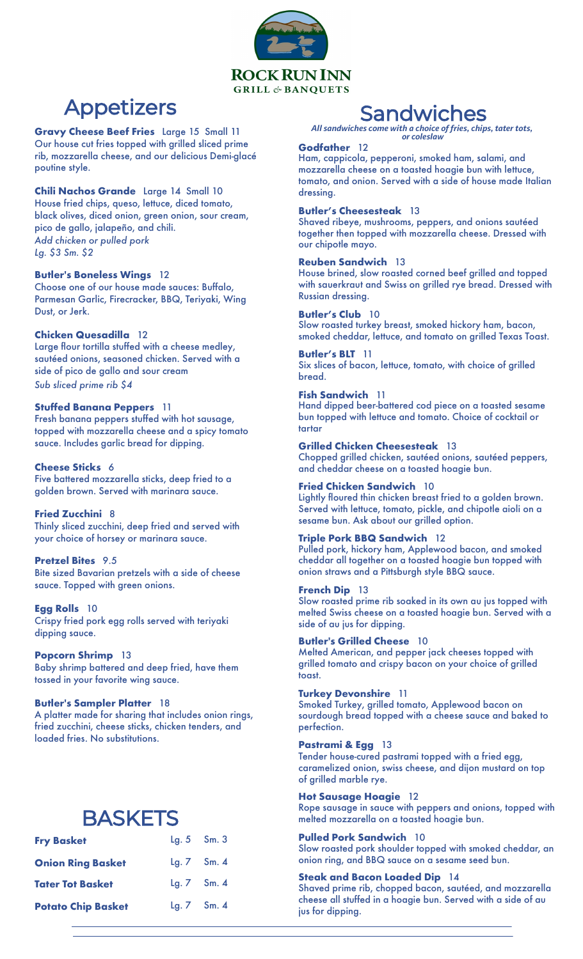

## Appetizers

**Gravy Cheese Beef Fries** Large 15 Small 11 Our house cut fries topped with grilled sliced prime rib, mozzarella cheese, and our delicious Demi-glacé poutine style.

#### **Chili Nachos Grande** Large 14 Small 10

House fried chips, queso, lettuce, diced tomato, black olives, diced onion, green onion, sour cream, pico de gallo, jalapeño, and chili. *Add chicken or pulled pork Lg. \$3 Sm. \$2*

#### **Butler's Boneless Wings** 12

Choose one of our house made sauces: Buffalo, Parmesan Garlic, Firecracker, BBQ, Teriyaki, Wing Dust, or Jerk.

#### **Chicken Quesadilla** 12

Large flour tortilla stuffed with a cheese medley, sautéed onions, seasoned chicken. Served with a side of pico de gallo and sour cream *Sub sliced prime rib \$4*

## **Stuffed Banana Peppers** 11

Fresh banana peppers stuffed with hot sausage, topped with mozzarella cheese and a spicy tomato sauce. Includes garlic bread for dipping.

#### **Cheese Sticks** 6

Five battered mozzarella sticks, deep fried to a golden brown. Served with marinara sauce.

#### **Fried Zucchini** 8

Thinly sliced zucchini, deep fried and served with your choice of horsey or marinara sauce.

#### **Pretzel Bites** 9.5

Bite sized Bavarian pretzels with a side of cheese sauce. Topped with green onions.

#### **Egg Rolls** 10

Crispy fried pork egg rolls served with teriyaki dipping sauce.

#### **Popcorn Shrimp** 13

Baby shrimp battered and deep fried, have them tossed in your favorite wing sauce.

#### **Butler's Sampler Platter** 18

A platter made for sharing that includes onion rings, fried zucchini, cheese sticks, chicken tenders, and loaded fries. No substitutions.

## **BASKETS**

| <b>Fry Basket</b>         | $Lg. 5$ Sm. 3   |  |
|---------------------------|-----------------|--|
| <b>Onion Ring Basket</b>  | Lg. 7 Sm. 4     |  |
| <b>Tater Tot Basket</b>   | Lg. $7$ Sm. $4$ |  |
| <b>Potato Chip Basket</b> | Lg. 7 Sm. 4     |  |

## **Sandwiches**

*All sandwiches come with a choice of fries, chips, tater tots, or coleslaw*

#### **Godfather** 12

Ham, cappicola, pepperoni, smoked ham, salami, and mozzarella cheese on a toasted hoagie bun with lettuce, tomato, and onion. Served with a side of house made Italian dressing.

#### **Butler's Cheesesteak** 13

Shaved ribeye, mushrooms, peppers, and onions sautéed together then topped with mozzarella cheese. Dressed with our chipotle mayo.

#### **Reuben Sandwich** 13

House brined, slow roasted corned beef grilled and topped with sauerkraut and Swiss on grilled rye bread. Dressed with Russian dressing.

#### **Butler's Club** 10

Slow roasted turkey breast, smoked hickory ham, bacon, smoked cheddar, lettuce, and tomato on grilled Texas Toast.

#### **Butler's BLT** 11

Six slices of bacon, lettuce, tomato, with choice of grilled bread.

#### **Fish Sandwich** 11

Hand dipped beer-battered cod piece on a toasted sesame bun topped with lettuce and tomato. Choice of cocktail or tartar

## **Grilled Chicken Cheesesteak** 13

Chopped grilled chicken, sautéed onions, sautéed peppers, and cheddar cheese on a toasted hoagie bun.

## **Fried Chicken Sandwich** 10

Lightly floured thin chicken breast fried to a golden brown. Served with lettuce, tomato, pickle, and chipotle aioli on a sesame bun. Ask about our grilled option.

## **Triple Pork BBQ Sandwich** 12

Pulled pork, hickory ham, Applewood bacon, and smoked cheddar all together on a toasted hoagie bun topped with onion straws and a Pittsburgh style BBQ sauce.

#### **French Dip** 13

Slow roasted prime rib soaked in its own au jus topped with melted Swiss cheese on a toasted hoagie bun. Served with a side of au jus for dipping.

#### **Butler's Grilled Cheese** 10

Melted American, and pepper jack cheeses topped with grilled tomato and crispy bacon on your choice of grilled toast.

#### **Turkey Devonshire** 11

Smoked Turkey, grilled tomato, Applewood bacon on sourdough bread topped with a cheese sauce and baked to perfection.

#### **Pastrami & Egg** 13

Tender house-cured pastrami topped with a fried egg, caramelized onion, swiss cheese, and dijon mustard on top of grilled marble rye.

#### **Hot Sausage Hoagie** 12

Rope sausage in sauce with peppers and onions, topped with melted mozzarella on a toasted hoagie bun.

#### **Pulled Pork Sandwich** 10

Slow roasted pork shoulder topped with smoked cheddar, an onion ring, and BBQ sauce on a sesame seed bun.

#### **Steak and Bacon Loaded Dip** 14

Shaved prime rib, chopped bacon, sautéed, and mozzarella cheese all stuffed in a hoagie bun. Served with a side of au jus for dipping.